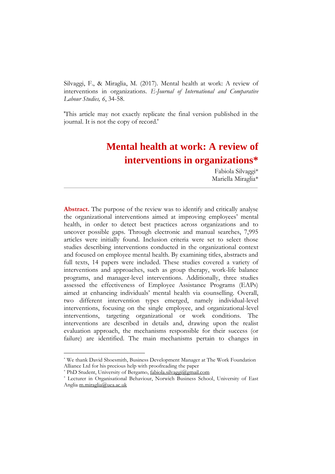Silvaggi, F., & Miraglia, M. (2017). Mental health at work: A review of interventions in organizations. *E-Journal of International and Comparative Labour Studies, 6*, 34-58.

'This article may not exactly replicate the final version published in the journal. It is not the copy of record.'

# **Mental health at work: A review of interventions in organizations\***

Fabiola Silvaggi\* Mariella Miraglia\*

**Abstract.** The purpose of the review was to identify and critically analyse the organizational interventions aimed at improving employees' mental health, in order to detect best practices across organizations and to uncover possible gaps. Through electronic and manual searches, 7,995 articles were initially found. Inclusion criteria were set to select those studies describing interventions conducted in the organizational context and focused on employee mental health. By examining titles, abstracts and full texts, 14 papers were included. These studies covered a variety of interventions and approaches, such as group therapy, work-life balance programs, and manager-level interventions. Additionally, three studies assessed the effectiveness of Employee Assistance Programs (EAPs) aimed at enhancing individuals' mental health via counselling. Overall, two different intervention types emerged, namely individual-level interventions, focusing on the single employee, and organizational-level interventions, targeting organizational or work conditions. The interventions are described in details and, drawing upon the realist evaluation approach, the mechanisms responsible for their success (or failure) are identified. The main mechanisms pertain to changes in

<sup>\*</sup> We thank David Shoesmith, Business Development Manager at The Work Foundation Alliance Ltd for his precious help with proofreading the paper

<sup>\*</sup> PhD Student, University of Bergamo, [fabiola.silvaggi@gmail.com](mailto:fabiola.silvaggi@gmail.com)

<sup>\*</sup> Lecturer in Organisational Behaviour, Norwich Business School, University of East Anglia [m.miraglia@uea.ac.uk](mailto:m.miraglia@uea.ac.uk)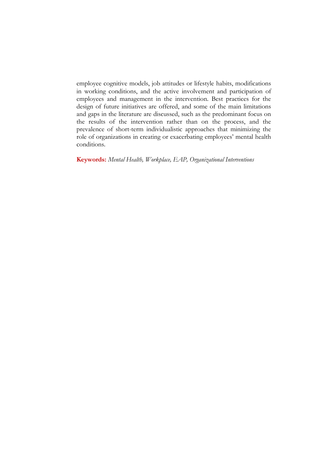employee cognitive models, job attitudes or lifestyle habits, modifications in working conditions, and the active involvement and participation of employees and management in the intervention. Best practices for the design of future initiatives are offered, and some of the main limitations and gaps in the literature are discussed, such as the predominant focus on the results of the intervention rather than on the process, and the prevalence of short-term individualistic approaches that minimizing the role of organizations in creating or exacerbating employees' mental health conditions.

**Keywords:** *Mental Health, Workplace, EAP, Organizational Interventions*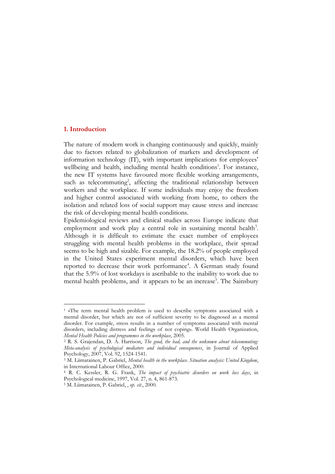#### **1. Introduction**

 $\overline{a}$ 

The nature of modern work is changing continuously and quickly, mainly due to factors related to globalization of markets and development of information technology (IT), with important implications for employees' wellbeing and health, including mental health conditions<sup>1</sup>. For instance, the new IT systems have favoured more flexible working arrangements, such as telecommuting<sup>2</sup>, affecting the traditional relationship between workers and the workplace. If some individuals may enjoy the freedom and higher control associated with working from home, to others the isolation and related loss of social support may cause stress and increase the risk of developing mental health conditions.

Epidemiological reviews and clinical studies across Europe indicate that employment and work play a central role in sustaining mental health<sup>3</sup>. Although it is difficult to estimate the exact number of employees struggling with mental health problems in the workplace, their spread seems to be high and sizable. For example, the 18.2% of people employed in the United States experiment mental disorders, which have been reported to decrease their work performance<sup>4</sup>. A German study found that the 5.9% of lost workdays is ascribable to the inability to work due to mental health problems, and it appears to be an increase<sup>5</sup>. The Sainsbury

<sup>1</sup> «The term mental health problem is used to describe symptoms associated with a mental disorder, but which are not of sufficient severity to be diagnosed as a mental disorder. For example, stress results in a number of symptoms associated with mental disorders, including distress and feelings of not coping». World Health Organization, *Mental Health Policies and programmes in the workplace*, 2005.

<sup>2</sup> R. S. Grajendan, D. A. Harrison, *The good, the bad, and the unknown about telecommuting: Meta-analysis of psychological mediators and individual consequences*, in Journal of Applied Psychology, 2007, Vol. 92, 1524-1541.

<sup>3</sup> M. Liimatainen, P. Gabriel, *Mental health in the workplace. Situation analysis: United Kingdom*, in International Labour Office, 2000.

<sup>4</sup> R. C. Kessler, R. G. Frank, *The impact of psychiatric disorders on work loss days*, in Psychological medicine, 1997, Vol. 27, n. 4, 861-873.

<sup>5</sup> M. Liimatainen, P. Gabriel, , *op. cit*., 2000.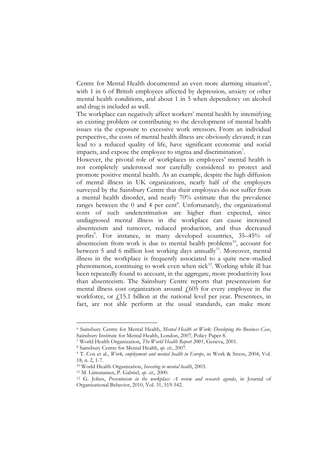Centre for Mental Health documented an even more alarming situation<sup>6</sup>, with 1 in 6 of British employees affected by depression, anxiety or other mental health conditions, and about 1 in 5 when dependency on alcohol and drug is included as well.

The workplace can negatively affect workers' mental health by intensifying an existing problem or contributing to the development of mental health issues via the exposure to excessive work stressors. From an individual perspective, the costs of mental health illness are obviously elevated; it can lead to a reduced quality of life, have significant economic and social impacts, and expose the employee to stigma and discrimination<sup>7</sup>.

However, the pivotal role of workplaces in employees' mental health is not completely understood nor carefully considered to protect and promote positive mental health. As an example, despite the high diffusion of mental illness in UK organizations, nearly half of the employers surveyed by the Sainsbury Centre that their employees do not suffer from a mental health disorder, and nearly 70% estimate that the prevalence ranges between the  $0$  and  $4$  per cent<sup>8</sup>. Unfortunately, the organizational costs of such underestimation are higher than expected, since undiagnosed mental illness in the workplace can cause increased absenteeism and turnover, reduced production, and thus decreased profits<sup>9</sup>. For instance, in many developed countries, 35-45% of absenteeism from work is due to mental health problems<sup>10</sup>, account for between 5 and 6 million lost working days annually<sup>11</sup>. Moreover, mental illness in the workplace is frequently associated to a quite new-studied phenomenon, continuing to work even when  $sick^{12}$ . Working while ill has been repeatedly found to account, in the aggregate, more productivity loss than absenteeism. The Sainsbury Centre reports that presenteeism for mental illness cost organization around  $f(605)$  for every employee in the workforce, or  $f(15.1)$  billion at the national level per year. Presentees, in fact, are not able perform at the usual standards, can make more

<sup>6</sup> Sainsbury Centre for Mental Health, *Mental Health at Work: Developing the Business Case*, Sainsbury Institute for Mental Health, London, 2007, Policy Paper 8.

<sup>7</sup> World Health Organization, *The World Health Report 2001*, Geneva, 2001.

<sup>8</sup> Sainsbury Centre for Mental Health, *op. cit*., 2007.

<sup>9</sup> T. Cox et al., *Work, employment and mental health in Europe*, in Work & Stress, 2004, Vol. 18, n. 2, 1-7.

<sup>10</sup> World Health Organization, *Investing in mental health*, 2003.

<sup>11</sup> M. Liimatainen, P. Gabriel, *op. cit*., 2000.

<sup>12</sup> G. Johns, *Presenteeism in the workplace: A review and research agenda*, in Journal of Organizational Behavior, 2010, Vol. 31, 519-542.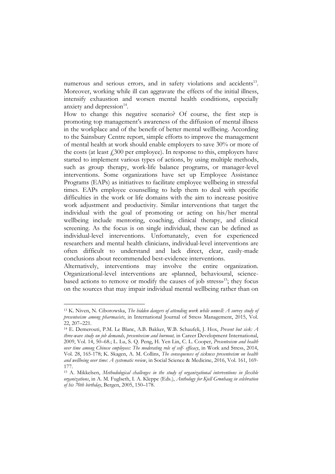numerous and serious errors, and in safety violations and accidents<sup>13</sup>. Moreover, working while ill can aggravate the effects of the initial illness, intensify exhaustion and worsen mental health conditions, especially anxiety and depression<sup>14</sup>.

How to change this negative scenario? Of course, the first step is promoting top management's awareness of the diffusion of mental illness in the workplace and of the benefit of better mental wellbeing. According to the Sainsbury Centre report, simple efforts to improve the management of mental health at work should enable employers to save 30% or more of the costs (at least  $\dot{f}$ , 300 per employee). In response to this, employers have started to implement various types of actions, by using multiple methods, such as group therapy, work-life balance programs, or manager-level interventions. Some organizations have set up Employee Assistance Programs (EAPs) as initiatives to facilitate employee wellbeing in stressful times. EAPs employee counselling to help them to deal with specific difficulties in the work or life domains with the aim to increase positive work adjustment and productivity. Similar interventions that target the individual with the goal of promoting or acting on his/her mental wellbeing include mentoring, coaching, clinical therapy, and clinical screening. As the focus is on single individual, these can be defined as individual-level interventions. Unfortunately, even for experienced researchers and mental health clinicians, individual-level interventions are often difficult to understand and lack direct, clear, easily-made conclusions about recommended best-evidence interventions.

Alternatively, interventions may involve the entire organization. Organizational-level interventions are «planned, behavioural, sciencebased actions to remove or modify the causes of job stress»<sup>15</sup>; they focus on the sources that may impair individual mental wellbeing rather than on

<sup>13</sup> K. Niven, N. Ciborowska, *The hidden dangers of attending work while unwell: A survey study of presenteeism among pharmacists*, in International Journal of Stress Management, 2015, Vol. 22, 207–221.

<sup>14</sup> E. Demerouti, P.M. Le Blanc, A.B. Bakker, W.B. Schaufeli, J. Hox, *Present but sick: A three-wave study on job demands, presenteeism and burnout,* in Career Development International, 2009, Vol. 14, 50–68.; L. Lu, S. Q. Peng, H. Yen Lin, C. L. Cooper, *Presenteeism and health over time among Chinese employees: The moderating role of self- efficacy*, in Work and Stress, 2014, Vol. 28, 165-178; K. Skagen, A. M. Collins, *The consequences of sickness presenteeism on health and wellbeing over time: A systematic review*, in Social Science & Medicine, 2016, Vol. 161, 169- 177.

<sup>15</sup> A. Mikkelsen, *Methodological challenges in the study of organizational interventions in flexible organizations*, in A. M. Fuglseth, I. A. Kleppe (Eds.), *Anthology for Kjell Grønhaug in celebration of his 70th birthday*, Bergen, 2005, 150–178.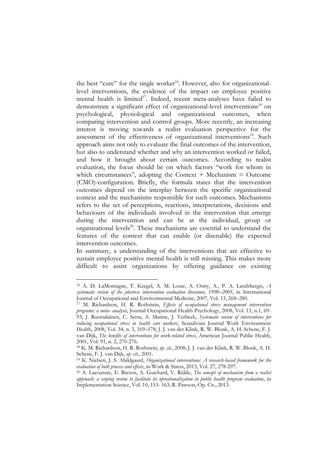the best "cure" for the single worker<sup>16</sup>. However, also for organizationallevel interventions, the evidence of the impact on employee positive mental health is limited<sup>17</sup>. Indeed, recent meta-analyses have failed to demonstrate a significant effect of organizational-level interventions<sup>18</sup> on psychological, physiological and organizational outcomes, when comparing intervention and control groups. More recently, an increasing interest is moving towards a realist evaluation perspective for the assessment of the effectiveness of organizational interventions<sup>19</sup>. Such approach aims not only to evaluate the final outcomes of the intervention, but also to understand whether and why an intervention worked or failed, and how it brought about certain outcomes. According to realist evaluation, the focus should be on which factors "work for whom in which circumstances", adopting the Context + Mechanism  $=$  Outcome (CMO)-configuration. Briefly, the formula states that the intervention outcomes depend on the interplay between the specific organizational context and the mechanisms responsible for such outcomes. Mechanisms refers to the set of perceptions, reactions, interpretations, decisions and behaviours of the individuals involved in the intervention that emerge during the intervention and can be at the individual, group or organizational levels<sup>20</sup>. These mechanisms are essential to understand the features of the context that can enable (or disenable) the expected intervention outcomes.

In summary, a understanding of the interventions that are effective to sustain employee positive mental health is still missing. This makes more difficult to assist organizations by offering guidance on existing

<u>.</u>

<sup>16</sup> A. D. LaMontagne, T. Keegel, A. M. Louie, A. Ostry, A., P. A. Landsbergis, *A systematic review of the jobstress intervention evaluation literature, 1990–2005*, in International Journal of Occupational and Environmental Medicine, 2007, Vol. 13, 268–280.

<sup>17</sup> M. Richardson, H. R. Rothstein, *Effects of occupational stress management intervention programs: a meta- analysis*, Journal Occupational Health Psychology, 2008, Vol. 13, n.1, 69- 93; J. Ruotsalainen, C. Serra, A. Marine, J. Verbeek, *Systematic review of interventions for reducing occupational stress in health care workers*, Scandivian Journal Work Environment Health, 2008, Vol. 34, n. 3, 169–178; J. J. van der Klink, R. W. Blonk, A. H. Schene, F. J. van Dijk, *The benefits of interventions for work-related stress*, American Journal Public Health, 2001, Vol. 91, n. 2, 270-276.

<sup>18</sup> K. M. Richardson, H. R. Rothstein, *op. cit*., 2008; J. J. van der Klink, R. W. Blonk, A. H. Schene, F. J. van Dijk, *op. cit*., 2001.

<sup>19</sup> K. Nielsen, J. S. Abildgaard, *Organizational interventions: A research-based framework for the evaluation of both process and effects*, in Work & Stress, 2013, Vol. 27, 278-297.

<sup>20</sup> A. Lacouture, E. Breton, A. Guichard, V. Ridde, *The concept of mechanism from a realist approach: a scoping review to facilitate its operationalization in public health program evaluation*, in Implementation Science, Vol. 10, 153-163; R. Pawson, Op. Cit., 2013.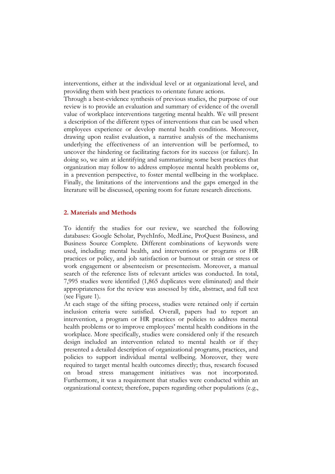interventions, either at the individual level or at organizational level, and providing them with best practices to orientate future actions.

Through a best-evidence synthesis of previous studies, the purpose of our review is to provide an evaluation and summary of evidence of the overall value of workplace interventions targeting mental health. We will present a description of the different types of interventions that can be used when employees experience or develop mental health conditions. Moreover, drawing upon realist evaluation, a narrative analysis of the mechanisms underlying the effectiveness of an intervention will be performed, to uncover the hindering or facilitating factors for its success (or failure). In doing so, we aim at identifying and summarizing some best practices that organization may follow to address employee mental health problems or, in a prevention perspective, to foster mental wellbeing in the workplace. Finally, the limitations of the interventions and the gaps emerged in the literature will be discussed, opening room for future research directions.

## **2. Materials and Methods**

To identify the studies for our review, we searched the following databases: Google Scholar, PsychInfo, MedLine, ProQuest Business, and Business Source Complete. Different combinations of keywords were used, including: mental health, and interventions or programs or HR practices or policy, and job satisfaction or burnout or strain or stress or work engagement or absenteeism or presenteeism. Moreover, a manual search of the reference lists of relevant articles was conducted. In total, 7,995 studies were identified (1,865 duplicates were eliminated) and their appropriateness for the review was assessed by title, abstract, and full text (see Figure 1).

At each stage of the sifting process, studies were retained only if certain inclusion criteria were satisfied. Overall, papers had to report an intervention, a program or HR practices or policies to address mental health problems or to improve employees' mental health conditions in the workplace. More specifically, studies were considered only if the research design included an intervention related to mental health or if they presented a detailed description of organizational programs, practices, and policies to support individual mental wellbeing. Moreover, they were required to target mental health outcomes directly; thus, research focused on broad stress management initiatives was not incorporated. Furthermore, it was a requirement that studies were conducted within an organizational context; therefore, papers regarding other populations (e.g.,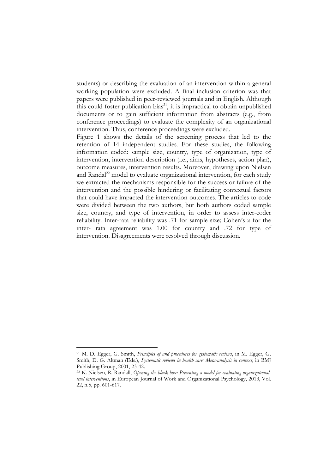students) or describing the evaluation of an intervention within a general working population were excluded. A final inclusion criterion was that papers were published in peer-reviewed journals and in English. Although this could foster publication bias <sup>21</sup>, it is impractical to obtain unpublished documents or to gain sufficient information from abstracts (e.g., from conference proceedings) to evaluate the complexity of an organizational intervention. Thus, conference proceedings were excluded.

Figure 1 shows the details of the screening process that led to the retention of 14 independent studies. For these studies, the following information coded: sample size, country, type of organization, type of intervention, intervention description (i.e., aims, hypotheses, action plan), outcome measures, intervention results. Moreover, drawing upon Nielsen and Randal<sup>22</sup> model to evaluate organizational intervention, for each study we extracted the mechanisms responsible for the success or failure of the intervention and the possible hindering or facilitating contextual factors that could have impacted the intervention outcomes. The articles to code were divided between the two authors, but both authors coded sample size, country, and type of intervention, in order to assess inter-coder reliability. Inter-rata reliability was .71 for sample size; Cohen's κ for the inter- rata agreement was 1.00 for country and .72 for type of intervention. Disagreements were resolved through discussion.

<sup>21</sup> M. D. Egger, G. Smith, *Principles of and procedures for systematic reviews*, in M. Egger, G. Smith, D. G. Altman (Eds.), *Systematic reviews in health care: Meta-analysis in context*, in BMJ Publishing Group, 2001, 23-42.

<sup>22</sup> K. Nielsen, R. Randall, *Opening the black box: Presenting a model for evaluating organizationallevel interventions*, in European Journal of Work and Organizational Psychology, 2013, Vol. 22, n.5, pp. 601-617.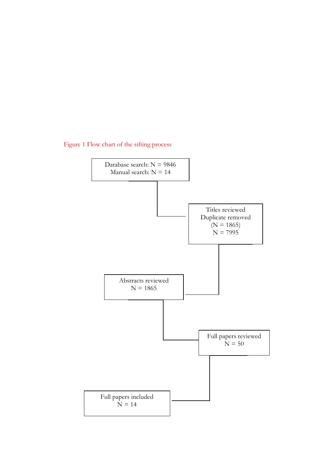Figure 1 Flow chart of the sifting process

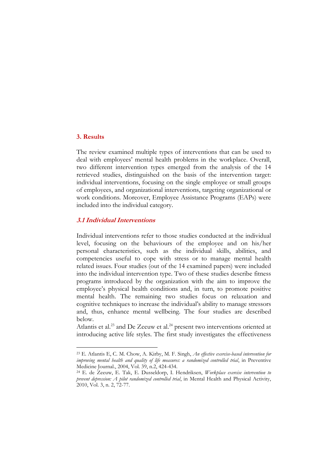#### **3. Results**

-

The review examined multiple types of interventions that can be used to deal with employees' mental health problems in the workplace. Overall, two different intervention types emerged from the analysis of the 14 retrieved studies, distinguished on the basis of the intervention target: individual interventions, focusing on the single employee or small groups of employees, and organizational interventions, targeting organizational or work conditions. Moreover, Employee Assistance Programs (EAPs) were included into the individual category.

#### **3.1 Individual Interventions**

Individual interventions refer to those studies conducted at the individual level, focusing on the behaviours of the employee and on his/her personal characteristics, such as the individual skills, abilities, and competencies useful to cope with stress or to manage mental health related issues. Four studies (out of the 14 examined papers) were included into the individual intervention type. Two of these studies describe fitness programs introduced by the organization with the aim to improve the employee's physical health conditions and, in turn, to promote positive mental health. The remaining two studies focus on relaxation and cognitive techniques to increase the individual's ability to manage stressors and, thus, enhance mental wellbeing. The four studies are described below.

Atlantis et al.<sup>23</sup> and De Zeeuw et al.<sup>24</sup> present two interventions oriented at introducing active life styles. The first study investigates the effectiveness

<sup>23</sup> E. Atlantis E, C. M. Chow, A. Kirby, M. F. Singh, *An effective exercise-based intervention for improving mental health and quality of life measures: a randomized controlled trial*, in Preventive Medicine Journal., 2004, Vol. 39, n.2, 424-434.

<sup>24</sup> E. de Zeeuw, E. Tak, E. Dusseldorp, I. Hendriksen, *Workplace exercise intervention to prevent depression: A pilot randomized controlled trial*, in Mental Health and Physical Activity, 2010, Vol. 3, n. 2, 72-77.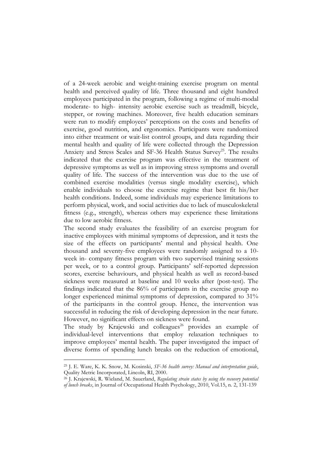of a 24-week aerobic and weight-training exercise program on mental health and perceived quality of life. Three thousand and eight hundred employees participated in the program, following a regime of multi-modal moderate- to high- intensity aerobic exercise such as treadmill, bicycle, stepper, or rowing machines. Moreover, five health education seminars were run to modify employees' perceptions on the costs and benefits of exercise, good nutrition, and ergonomics. Participants were randomized into either treatment or wait-list control groups, and data regarding their mental health and quality of life were collected through the Depression Anxiety and Stress Scales and SF-36 Health Status Survey<sup>25</sup>. The results indicated that the exercise program was effective in the treatment of depressive symptoms as well as in improving stress symptoms and overall quality of life. The success of the intervention was due to the use of combined exercise modalities (versus single modality exercise), which enable individuals to choose the exercise regime that best fit his/her health conditions. Indeed, some individuals may experience limitations to perform physical, work, and social activities due to lack of musculoskeletal fitness (e.g., strength), whereas others may experience these limitations due to low aerobic fitness.

The second study evaluates the feasibility of an exercise program for inactive employees with minimal symptoms of depression, and it tests the size of the effects on participants' mental and physical health. One thousand and seventy-five employees were randomly assigned to a 10 week in- company fitness program with two supervised training sessions per week, or to a control group. Participants' self-reported depression scores, exercise behaviours, and physical health as well as record-based sickness were measured at baseline and 10 weeks after (post-test). The findings indicated that the 86% of participants in the exercise group no longer experienced minimal symptoms of depression, compared to 31% of the participants in the control group. Hence, the intervention was successful in reducing the risk of developing depression in the near future. However, no significant effects on sickness were found.

The study by Krajewski and colleagues<sup>26</sup> provides an example of individual-level interventions that employ relaxation techniques to improve employees' mental health. The paper investigated the impact of diverse forms of spending lunch breaks on the reduction of emotional,

<sup>25</sup> J. E. Ware, K. K. Snow, M. Kosinski, *SF-36 health survey: Manual and interpretation guide*, Quality Metric Incorporated, Lincoln, RI, 2000.

<sup>26</sup> J. Krajewski, R. Wieland, M. Sauerland, *Regulating strain states by using the recovery potential of lunch breaks*, in Journal of Occupational Health Psychology, 2010, Vol.15, n. 2, 131-139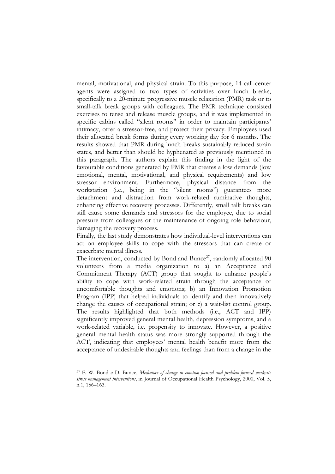mental, motivational, and physical strain. To this purpose, 14 call-center agents were assigned to two types of activities over lunch breaks, specifically to a 20-minute progressive muscle relaxation (PMR) task or to small-talk break groups with colleagues. The PMR technique consisted exercises to tense and release muscle groups, and it was implemented in specific cabins called "silent rooms" in order to maintain participants' intimacy, offer a stressor-free, and protect their privacy. Employees used their allocated break forms during every working day for 6 months. The results showed that PMR during lunch breaks sustainably reduced strain states, and better than should be hyphenated as previously mentioned in this paragraph. The authors explain this finding in the light of the favourable conditions generated by PMR that creates a low demands (low emotional, mental, motivational, and physical requirements) and low stressor environment. Furthermore, physical distance from the workstation (i.e., being in the "silent rooms") guarantees more detachment and distraction from work-related ruminative thoughts, enhancing effective recovery processes. Differently, small talk breaks can still cause some demands and stressors for the employee, due to social pressure from colleagues or the maintenance of ongoing role behaviour, damaging the recovery process.

Finally, the last study demonstrates how individual-level interventions can act on employee skills to cope with the stressors that can create or exacerbate mental illness.

The intervention, conducted by Bond and Bunce<sup>27</sup>, randomly allocated 90 volunteers from a media organization to a) an Acceptance and Commitment Therapy (ACT) group that sought to enhance people's ability to cope with work-related strain through the acceptance of uncomfortable thoughts and emotions; b) an Innovation Promotion Program (IPP) that helped individuals to identify and then innovatively change the causes of occupational strain; or c) a wait-list control group. The results highlighted that both methods (i.e., ACT and IPP) significantly improved general mental health, depression symptoms, and a work-related variable, i.e. propensity to innovate. However, a positive general mental health status was more strongly supported through the ACT, indicating that employees' mental health benefit more from the acceptance of undesirable thoughts and feelings than from a change in the

<sup>27</sup> F. W. Bond e D. Bunce, *Mediators of change in emotion-focused and problem-focused worksite stress management interventions*, in Journal of Occupational Health Psychology, 2000, Vol. 5, n.1, 156–163.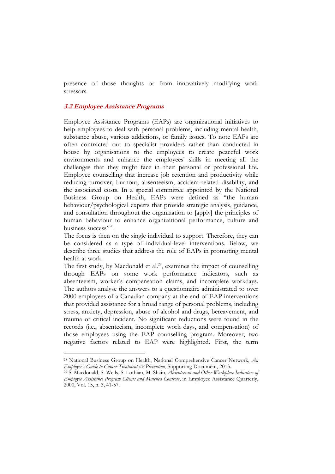presence of those thoughts or from innovatively modifying work stressors.

## **3.2 Employee Assistance Programs**

 $\overline{a}$ 

Employee Assistance Programs (EAPs) are organizational initiatives to help employees to deal with personal problems, including mental health, substance abuse, various addictions, or family issues. To note EAPs are often contracted out to specialist providers rather than conducted in house by organisations to the employees to create peaceful work environments and enhance the employees' skills in meeting all the challenges that they might face in their personal or professional life. Employee counselling that increase job retention and productivity while reducing turnover, burnout, absenteeism, accident-related disability, and the associated costs. In a special committee appointed by the National Business Group on Health, EAPs were defined as "the human behaviour/psychological experts that provide strategic analysis, guidance, and consultation throughout the organization to [apply] the principles of human behaviour to enhance organizational performance, culture and business success"<sup>28</sup>.

The focus is then on the single individual to support. Therefore, they can be considered as a type of individual-level interventions. Below, we describe three studies that address the role of EAPs in promoting mental health at work.

The first study, by Macdonald et al.<sup>29</sup>, examines the impact of counselling through EAPs on some work performance indicators, such as absenteeism, worker's compensation claims, and incomplete workdays. The authors analyse the answers to a questionnaire administrated to over 2000 employees of a Canadian company at the end of EAP interventions that provided assistance for a broad range of personal problems, including stress, anxiety, depression, abuse of alcohol and drugs, bereavement, and trauma or critical incident. No significant reductions were found in the records (i.e., absenteeism, incomplete work days, and compensation) of those employees using the EAP counselling program. Moreover, two negative factors related to EAP were highlighted. First, the term

<sup>28</sup> National Business Group on Health, National Comprehensive Cancer Network, *An Employer's Guide to Cancer Treatment & Prevention*, Supporting Document, 2013.

<sup>29</sup> S. Macdonald, S. Wells, S. Lothian, M. Shain, *Absenteeism and Other Workplace Indicators of Employee Assistance Program Clients and Matched Controls*, in Employee Assistance Quarterly, 2000, Vol. 15, n. 3, 41-57.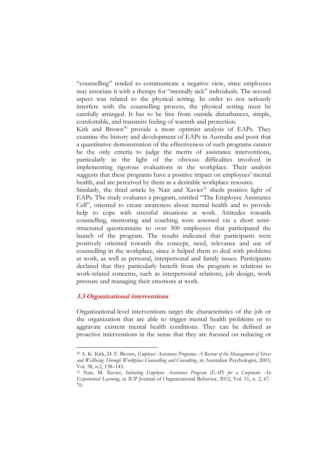"counselling" tended to communicate a negative view, since employees may associate it with a therapy for "mentally sick" individuals. The second aspect was related to the physical setting. In order to not seriously interfere with the counselling process, the physical setting must be carefully arranged. It has to be free from outside disturbances, simple, comfortable, and transmits feeling of warmth and protection.

Kirk and Brown<sup>30</sup> provide a more optimist analysis of EAPs. They examine the history and development of EAPs in Australia and posit that a quantitative demonstration of the effectiveness of such programs cannot be the only criteria to judge the merits of assistance interventions, particularly in the light of the obvious difficulties involved in implementing rigorous evaluations in the workplace. Their analysis suggests that these programs have a positive impact on employees' mental health, and are perceived by them as a desirable workplace resource.

Similarly, the third article by Nair and Xavier $31$  sheds positive light of EAPs. The study evaluates a program, entitled "The Employee Assistance Cell", oriented to create awareness about mental health and to provide help to cope with stressful situations at work. Attitudes towards counselling, mentoring and coaching were assessed via a short semistructured questionnaire to over 300 employees that participated the launch of the program. The results indicated that participants were positively oriented towards the concept, need, relevance and use of counselling in the workplace, since it helped them to deal with problems at work, as well as personal, interpersonal and family issues. Participants declared that they particularly benefit from the program in relations to work-related concerns, such as interpersonal relations, job design, work pressure and managing their emotions at work.

## **3.3 Organizational interventions**

-

Organizational-level interventions target the characteristics of the job or the organization that are able to trigger mental health problems or to aggravate existent mental health conditions. They can be defined as proactive interventions in the sense that they are focused on reducing or

<sup>30</sup> A. K. Kirk, D. F. Brown, *Employee Assistance Programs: A Review of the Management of Stress and Wellbeing Through Workplace Counselling and Consulting*, in Australian Psychologist, 2003, Vol. 38, n.2, 138–143.

<sup>31</sup> Nair, M. Xavier, *Initiating Employee Assistance Program (EAP) for a Corporate: An Experiential Learning*, in IUP Journal of Organizational Behavior, 2012, Vol. 11, n. 2, 67- 76.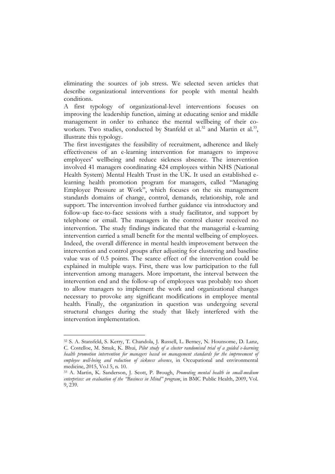eliminating the sources of job stress. We selected seven articles that describe organizational interventions for people with mental health conditions.

A first typology of organizational-level interventions focuses on improving the leadership function, aiming at educating senior and middle management in order to enhance the mental wellbeing of their coworkers. Two studies, conducted by Stanfeld et al.<sup>32</sup> and Martin et al.<sup>33</sup>, illustrate this typology.

The first investigates the feasibility of recruitment, adherence and likely effectiveness of an e-learning intervention for managers to improve employees' wellbeing and reduce sickness absence. The intervention involved 41 managers coordinating 424 employees within NHS (National Health System) Mental Health Trust in the UK. It used an established elearning health promotion program for managers, called "Managing Employee Pressure at Work", which focuses on the six management standards domains of change, control, demands, relationship, role and support. The intervention involved further guidance via introductory and follow-up face-to-face sessions with a study facilitator, and support by telephone or email. The managers in the control cluster received no intervention. The study findings indicated that the managerial e-learning intervention carried a small benefit for the mental wellbeing of employees. Indeed, the overall difference in mental health improvement between the intervention and control groups after adjusting for clustering and baseline value was of 0.5 points. The scarce effect of the intervention could be explained in multiple ways. First, there was low participation to the full intervention among managers. More important, the interval between the intervention end and the follow-up of employees was probably too short to allow managers to implement the work and organizational changes necessary to provoke any significant modifications in employee mental health. Finally, the organization in question was undergoing several structural changes during the study that likely interfered with the intervention implementation.

<sup>32</sup> S. A. Stansfeld, S. Kerry, T. Chandola, J. Russell, L. Berney, N. Hounsome, D. Lanz, C. Costelloe, M. Smuk, K. Bhui, *Pilot study of a cluster randomised trial of a guided e-learning health promotion intervention for managers based on management standards for the improvement of employee well-being and reduction of sickness absence*, in Occupational and environmental medicine, 2015, Vo.l 5, n. 10.

<sup>33</sup> A. Martin, K. Sanderson, J. Scott, P. Brough, *Promoting mental health in small-medium enterprises: an evaluation of the "Business in Mind" program*, in BMC Public Health, 2009, Vol. 9, 239.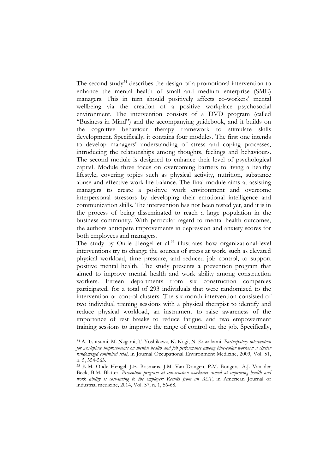The second study<sup>34</sup> describes the design of a promotional intervention to enhance the mental health of small and medium enterprise (SME) managers. This in turn should positively affects co-workers' mental wellbeing via the creation of a positive workplace psychosocial environment. The intervention consists of a DVD program (called "Business in Mind") and the accompanying guidebook, and it builds on the cognitive behaviour therapy framework to stimulate skills development. Specifically, it contains four modules. The first one intends to develop managers' understanding of stress and coping processes, introducing the relationships among thoughts, feelings and behaviours. The second module is designed to enhance their level of psychological capital. Module three focus on overcoming barriers to living a healthy lifestyle, covering topics such as physical activity, nutrition, substance abuse and effective work-life balance. The final module aims at assisting managers to create a positive work environment and overcome interpersonal stressors by developing their emotional intelligence and communication skills. The intervention has not been tested yet, and it is in the process of being disseminated to reach a large population in the business community. With particular regard to mental health outcomes, the authors anticipate improvements in depression and anxiety scores for both employees and managers.

The study by Oude Hengel et al.<sup>35</sup> illustrates how organizational-level interventions try to change the sources of stress at work, such as elevated physical workload, time pressure, and reduced job control, to support positive mental health. The study presents a prevention program that aimed to improve mental health and work ability among construction workers. Fifteen departments from six construction companies participated, for a total of 293 individuals that were randomized to the intervention or control clusters. The six-month intervention consisted of two individual training sessions with a physical therapist to identify and reduce physical workload, an instrument to raise awareness of the importance of rest breaks to reduce fatigue, and two empowerment training sessions to improve the range of control on the job. Specifically,

<u>.</u>

<sup>34</sup> A. Tsutsumi, M. Nagami, T. Yoshikawa, K. Kogi, N. Kawakami, *Participatory intervention for workplace improvements on mental health and job performance among blue-collar workers: a cluster randomized controlled trial*, in Journal Occupational Environment Medicine, 2009, Vol. 51, n. 5, 554-563.

<sup>35</sup> K.M. Oude Hengel, J.E. Bosmans, J.M. Van Dongen, P.M. Bongers, A.J. Van der Beek, B.M. Blatter, *Prevention program at construction worksites aimed at improving health and work ability is cost-saving to the employer: Results from an RCT*, in American Journal of industrial medicine, 2014, Vol. 57, n. 1, 56-68.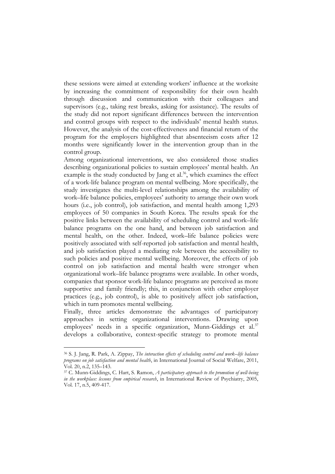these sessions were aimed at extending workers' influence at the worksite by increasing the commitment of responsibility for their own health through discussion and communication with their colleagues and supervisors (e.g., taking rest breaks, asking for assistance). The results of the study did not report significant differences between the intervention and control groups with respect to the individuals' mental health status. However, the analysis of the cost-effectiveness and financial return of the program for the employers highlighted that absenteeism costs after 12 months were significantly lower in the intervention group than in the control group.

Among organizational interventions, we also considered those studies describing organizational policies to sustain employees' mental health. An example is the study conducted by Jang et al.<sup>36</sup>, which examines the effect of a work-life balance program on mental wellbeing. More specifically, the study investigates the multi-level relationships among the availability of work–life balance policies, employees' authority to arrange their own work hours (i.e., job control), job satisfaction, and mental health among 1,293 employees of 50 companies in South Korea. The results speak for the positive links between the availability of scheduling control and work–life balance programs on the one hand, and between job satisfaction and mental health, on the other. Indeed, work–life balance policies were positively associated with self-reported job satisfaction and mental health, and job satisfaction played a mediating role between the accessibility to such policies and positive mental wellbeing. Moreover, the effects of job control on job satisfaction and mental health were stronger when organizational work–life balance programs were available. In other words, companies that sponsor work-life balance programs are perceived as more supportive and family friendly; this, in conjunction with other employer practices (e.g., job control), is able to positively affect job satisfaction, which in turn promotes mental wellbeing.

Finally, three articles demonstrate the advantages of participatory approaches in setting organizational interventions. Drawing upon employees' needs in a specific organization, Munn-Giddings et al.<sup>37</sup> develops a collaborative, context-specific strategy to promote mental

<sup>36</sup> S. J. Jang, R. Park, A. Zippay, *The interaction effects of scheduling control and work–life balance programs on job satisfaction and mental health*, in International Journal of Social Welfare, 2011, Vol. 20, n.2, 135–143.

<sup>37</sup> C. Munn-Giddings, C. Hart, S. Ramon, *A participatory approach to the promotion of well-being in the workplace: lessons from empirical research*, in International Review of Psychiatry, 2005, Vol. 17, n.5, 409-417.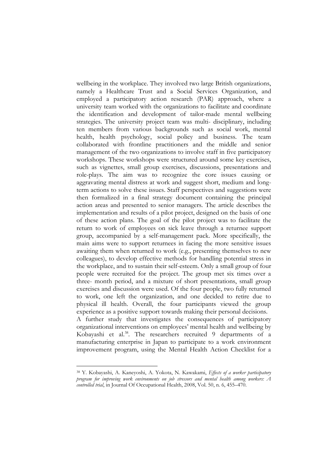wellbeing in the workplace. They involved two large British organizations, namely a Healthcare Trust and a Social Services Organization, and employed a participatory action research (PAR) approach, where a university team worked with the organizations to facilitate and coordinate the identification and development of tailor-made mental wellbeing strategies. The university project team was multi- disciplinary, including ten members from various backgrounds such as social work, mental health, health psychology, social policy and business. The team collaborated with frontline practitioners and the middle and senior management of the two organizations to involve staff in five participatory workshops. These workshops were structured around some key exercises, such as vignettes, small group exercises, discussions, presentations and role-plays. The aim was to recognize the core issues causing or aggravating mental distress at work and suggest short, medium and longterm actions to solve these issues. Staff perspectives and suggestions were then formalized in a final strategy document containing the principal action areas and presented to senior managers. The article describes the implementation and results of a pilot project, designed on the basis of one of these action plans. The goal of the pilot project was to facilitate the return to work of employees on sick leave through a returnee support group, accompanied by a self-management pack. More specifically, the main aims were to support returnees in facing the more sensitive issues awaiting them when returned to work (e.g., presenting themselves to new colleagues), to develop effective methods for handling potential stress in the workplace, and to sustain their self-esteem. Only a small group of four people were recruited for the project. The group met six times over a three- month period, and a mixture of short presentations, small group exercises and discussion were used. Of the four people, two fully returned to work, one left the organization, and one decided to retire due to physical ill health. Overall, the four participants viewed the group experience as a positive support towards making their personal decisions. A further study that investigates the consequences of participatory organizational interventions on employees' mental health and wellbeing by Kobayashi et al.<sup>38</sup>. The researchers recruited 9 departments of a manufacturing enterprise in Japan to participate to a work environment improvement program, using the Mental Health Action Checklist for a

<sup>38</sup> Y. Kobayashi, A. Kaneyoshi, A. Yokota, N. Kawakami, *Effects of a worker participatory program for improving work environments on job stressors and mental health among workers: A controlled trial*, in Journal Of Occupational Health, 2008, Vol. 50, n. 6, 455–470.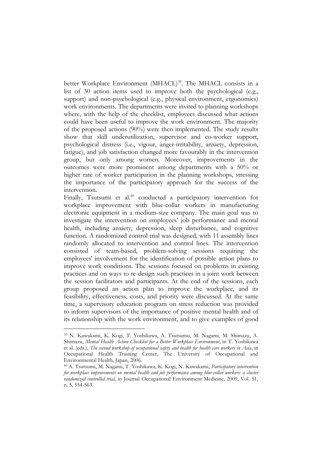better Workplace Environment (MHACL)<sup>39</sup>. The MHACL consists in a list of 30 action items used to improve both the psychological (e.g., support) and non-psychological (e.g., physical environment, ergonomics) work environments. The departments were invited to planning workshops where, with the help of the checklist, employees discussed what actions could have been useful to improve the work environment. The majority of the proposed actions (90%) were then implemented. The study results show that skill underutilization, supervisor and co-worker support, psychological distress (i.e., vigour, anger-irritability, anxiety, depression, fatigue), and job satisfaction changed more favourably in the intervention group, but only among women. Moreover, improvements in the outcomes were more prominent among departments with a 50% or higher rate of worker participation in the planning workshops, stressing the importance of the participatory approach for the success of the intervention.

Finally, Tsutsumi et al.<sup>40</sup> conducted a participatory intervention for workplace improvement with blue-collar workers in manufacturing electronic equipment in a medium-size company. The main goal was to investigate the intervention on employees' job performance and mental health, including anxiety, depression, sleep disturbance, and cognitive function. A randomized control trial was designed, with 11 assembly lines randomly allocated to intervention and control lines. The intervention consisted of team-based, problem-solving sessions requiring the employees' involvement for the identification of possible action plans to improve work conditions. The sessions focused on problems in existing practices and on ways to re-design such practices in a joint work between the session facilitators and participants. At the end of the sessions, each group proposed an action plan to improve the workplace, and its feasibility, effectiveness, costs, and priority were discussed. At the same time, a supervisory education program on stress reduction was provided to inform supervisors of the importance of positive mental health and of its relationship with the work environment, and to give examples of good

<sup>39</sup> N. Kawakami, K. Kogi, T. Yoshikawa, A. Tsutsumu, M. Nagami, M. Shimazu, A. Shimazu, *Mental Health Action Checklist for a Better Workplace Environment*, in T. Yoshikawa et al. (eds.), *The second workshop of occupational safety and health for health care workers in Asia*, in Occupational Health Training Center, The University of Occupational and Environmental Health, Japan, 2006.

<sup>40</sup> A. Tsutsumi, M. Nagami, T. Yoshikawa, K. Kogi, N. Kawakami, *Participatory intervention for workplace improvements on mental health and job performance among blue-collar workers: a cluster randomized controlled trial*, in Journal Occupational Environment Medicine, 2009, Vol. 51, n. 5, 554-563.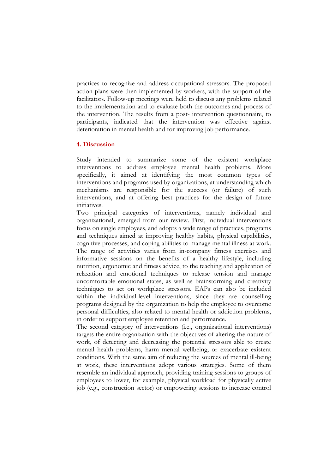practices to recognize and address occupational stressors. The proposed action plans were then implemented by workers, with the support of the facilitators. Follow-up meetings were held to discuss any problems related to the implementation and to evaluate both the outcomes and process of the intervention. The results from a post- intervention questionnaire, to participants, indicated that the intervention was effective against deterioration in mental health and for improving job performance.

## **4. Discussion**

Study intended to summarize some of the existent workplace interventions to address employee mental health problems. More specifically, it aimed at identifying the most common types of interventions and programs used by organizations, at understanding which mechanisms are responsible for the success (or failure) of such interventions, and at offering best practices for the design of future initiatives.

Two principal categories of interventions, namely individual and organizational, emerged from our review. First, individual interventions focus on single employees, and adopts a wide range of practices, programs and techniques aimed at improving healthy habits, physical capabilities, cognitive processes, and coping abilities to manage mental illness at work. The range of activities varies from in-company fitness exercises and informative sessions on the benefits of a healthy lifestyle, including nutrition, ergonomic and fitness advice, to the teaching and application of relaxation and emotional techniques to release tension and manage uncomfortable emotional states, as well as brainstorming and creativity techniques to act on workplace stressors. EAPs can also be included within the individual-level interventions, since they are counselling programs designed by the organization to help the employee to overcome personal difficulties, also related to mental health or addiction problems, in order to support employee retention and performance.

The second category of interventions (i.e., organizational interventions) targets the entire organization with the objectives of altering the nature of work, of detecting and decreasing the potential stressors able to create mental health problems, harm mental wellbeing, or exacerbate existent conditions. With the same aim of reducing the sources of mental ill-being at work, these interventions adopt various strategies. Some of them resemble an individual approach, providing training sessions to groups of employees to lower, for example, physical workload for physically active job (e.g., construction sector) or empowering sessions to increase control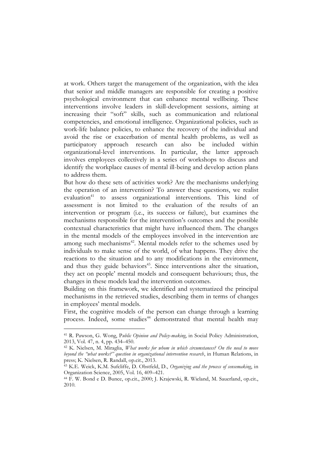at work. Others target the management of the organization, with the idea that senior and middle managers are responsible for creating a positive psychological environment that can enhance mental wellbeing. These interventions involve leaders in skill-development sessions, aiming at increasing their "soft" skills, such as communication and relational competencies, and emotional intelligence. Organizational policies, such as work-life balance policies, to enhance the recovery of the individual and avoid the rise or exacerbation of mental health problems, as well as participatory approach research can also be included within organizational-level interventions. In particular, the latter approach involves employees collectively in a series of workshops to discuss and identify the workplace causes of mental ill-being and develop action plans to address them.

But how do these sets of activities work? Are the mechanisms underlying the operation of an intervention? To answer these questions, we realist evaluation<sup>41</sup> to assess organizational interventions. This kind of assessment is not limited to the evaluation of the results of an intervention or program (i.e., its success or failure), but examines the mechanisms responsible for the intervention's outcomes and the possible contextual characteristics that might have influenced them. The changes in the mental models of the employees involved in the intervention are among such mechanisms<sup>42</sup>. Mental models refer to the schemes used by individuals to make sense of the world, of what happens. They drive the reactions to the situation and to any modifications in the environment, and thus they guide behaviors<sup>43</sup>. Since interventions alter the situation, they act on people' mental models and consequent behaviours; thus, the changes in these models lead the intervention outcomes.

Building on this framework, we identified and systematized the principal mechanisms in the retrieved studies, describing them in terms of changes in employees' mental models.

First, the cognitive models of the person can change through a learning process. Indeed, some studies<sup>44</sup> demonstrated that mental health may

<sup>41</sup> R. Pawson, G. Wong, P*ublic Opinion and Policy-making*, in Social Policy Administration, 2013, Vol. 47, n. 4, pp. 434–450.

<sup>42</sup> K. Nielsen, M. Miraglia, *What works for whom in which circumstances? On the need to move beyond the "what works?" question in organizational intervention research*, in Human Relations, in press; K. Nielsen, R. Randall, op.cit., 2013.

<sup>43</sup> K.E. Weick, K.M. Sufcliffe, D. Obstfeld, D., *Organizing and the process of sensemaking*, in Organization Science, 2005, Vol. 16, 409–421.

<sup>44</sup> F. W. Bond e D. Bunce, op.cit., 2000; J. Krajewski, R. Wieland, M. Sauerland, op.cit., 2010.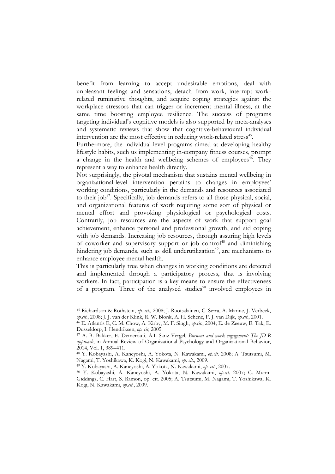benefit from learning to accept undesirable emotions, deal with unpleasant feelings and sensations, detach from work, interrupt workrelated ruminative thoughts, and acquire coping strategies against the workplace stressors that can trigger or increment mental illness, at the same time boosting employee resilience. The success of programs targeting individual's cognitive models is also supported by meta-analyses and systematic reviews that show that cognitive-behavioural individual intervention are the most effective in reducing work-related stress<sup>45</sup>.

Furthermore, the individual-level programs aimed at developing healthy lifestyle habits, such us implementing in-company fitness courses, prompt a change in the health and wellbeing schemes of employees<sup>46</sup>. They represent a way to enhance health directly.

Not surprisingly, the pivotal mechanism that sustains mental wellbeing in organizational-level intervention pertains to changes in employees' working conditions, particularly in the demands and resources associated to their job<sup>47</sup>. Specifically, job demands refers to all those physical, social, and organizational features of work requiring some sort of physical or mental effort and provoking physiological or psychological costs. Contrarily, job resources are the aspects of work that support goal achievement, enhance personal and professional growth, and aid coping with job demands. Increasing job resources, through assuring high levels of coworker and supervisory support or job control<sup>48</sup> and diminishing hindering job demands, such as skill underutilization<sup>49</sup>, are mechanisms to enhance employee mental health.

This is particularly true when changes in working conditions are detected and implemented through a participatory process, that is involving workers. In fact, participation is a key means to ensure the effectiveness of a program. Three of the analysed studies<sup>50</sup> involved employees in

<sup>45</sup> Richardson & Rothstein, *op. cit*., 2008; J. Ruotsalainen, C. Serra, A. Marine, J. Verbeek, *op.cit*., 2008; J. J. van der Klink, R. W. Blonk, A. H. Schene, F. J. van Dijk, *op.cit*., 2001.

<sup>46</sup> E. Atlantis E, C. M. Chow, A. Kirby, M. F. Singh, *op.cit*., 2004; E. de Zeeuw, E. Tak, E. Dusseldorp, I. Hendriksen, *op. cit*, 2005.

<sup>47</sup> A. B. Bakker, E. Demerouti, A.I. Sanz-Vergel, *Burnout and work engagement: The JD-R approach*, in Annual Review of Organizational Psychology and Organizational Behavior, 2014, Vol. 1, 389–411.

<sup>48</sup> Y. Kobayashi, A. Kaneyoshi, A. Yokota, N. Kawakami, *op.cit*. 2008; A. Tsutsumi, M. Nagami, T. Yoshikawa, K. Kogi, N. Kawakami, *op. cit*., 2009.

<sup>49</sup> Y. Kobayashi, A. Kaneyoshi, A. Yokota, N. Kawakami, *op. cit*., 2007.

<sup>50</sup> Y. Kobayashi, A. Kaneyoshi, A. Yokota, N. Kawakami, *op.cit*. 2007; C. Munn-Giddings, C. Hart, S. Ramon, op. cit. 2005; A. Tsutsumi, M. Nagami, T. Yoshikawa, K. Kogi, N. Kawakami, *op.cit*., 2009.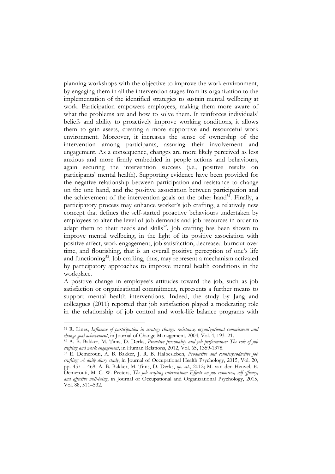planning workshops with the objective to improve the work environment, by engaging them in all the intervention stages from its organization to the implementation of the identified strategies to sustain mental wellbeing at work. Participation empowers employees, making them more aware of what the problems are and how to solve them. It reinforces individuals' beliefs and ability to proactively improve working conditions, it allows them to gain assets, creating a more supportive and resourceful work environment. Moreover, it increases the sense of ownership of the intervention among participants, assuring their involvement and engagement. As a consequence, changes are more likely perceived as less anxious and more firmly embedded in people actions and behaviours, again securing the intervention success (i.e., positive results on participants' mental health). Supporting evidence have been provided for the negative relationship between participation and resistance to change on the one hand, and the positive association between participation and the achievement of the intervention goals on the other hand<sup>51</sup>. Finally, a participatory process may enhance worker's job crafting, a relatively new concept that defines the self-started proactive behaviours undertaken by employees to alter the level of job demands and job resources in order to adapt them to their needs and skills<sup>52</sup>. Job crafting has been shown to improve mental wellbeing, in the light of its positive association with positive affect, work engagement, job satisfaction, decreased burnout over time, and flourishing, that is an overall positive perception of one's life and functioning<sup>53</sup>. Job crafting, thus, may represent a mechanism activated by participatory approaches to improve mental health conditions in the workplace.

A positive change in employee's attitudes toward the job, such as job satisfaction or organizational commitment, represents a further means to support mental health interventions. Indeed, the study by Jang and colleagues (2011) reported that job satisfaction played a moderating role in the relationship of job control and work-life balance programs with

<sup>51</sup> R. Lines, *Influence of participation in strategy change: resistance, organizational commitment and change goal achievement*, in Journal of Change Management, 2004, Vol. 4, 193–21.

<sup>52</sup> A. B. Bakker, M. Tims, D. Derks, *Proactive personality and job performance: The role of job crafting and work engagement*, in Human Relations, 2012, Vol. 65, 1359-1378.

<sup>53</sup> E. Demerouti, A. B. Bakker, J. R. B. Halbesleben, *Productive and counterproductive job crafting: A daily diary study*, in Journal of Occupational Health Psychology, 2015, Vol. 20, pp. 457 – 469; A. B. Bakker, M. Tims, D. Derks, *op. cit*., 2012; M. van den Heuvel, E. Demerouti, M. C. W. Peeters, *The job crafting intervention: Effects on job resources, self-efficacy, and affective well-being*, in Journal of Occupational and Organizational Psychology, 2015, Vol. 88, 511–532.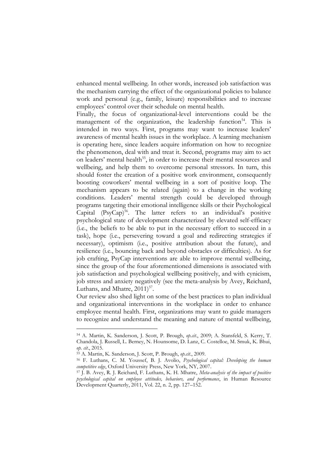enhanced mental wellbeing. In other words, increased job satisfaction was the mechanism carrying the effect of the organizational policies to balance work and personal (e.g., family, leisure) responsibilities and to increase employees' control over their schedule on mental health.

Finally, the focus of organizational-level interventions could be the management of the organization, the leadership function<sup>54</sup>. This is intended in two ways. First, programs may want to increase leaders' awareness of mental health issues in the workplace. A learning mechanism is operating here, since leaders acquire information on how to recognize the phenomenon, deal with and treat it. Second, programs may aim to act on leaders' mental health<sup>55</sup>, in order to increase their mental resources and wellbeing, and help them to overcome personal stressors. In turn, this should foster the creation of a positive work environment, consequently boosting coworkers' mental wellbeing in a sort of positive loop. The mechanism appears to be related (again) to a change in the working conditions. Leaders' mental strength could be developed through programs targeting their emotional intelligence skills or their Psychological Capital  $(PsvCap)^{56}$ . The latter refers to an individual's positive psychological state of development characterized by elevated self-efficacy (i.e., the beliefs to be able to put in the necessary effort to succeed in a task), hope (i.e., persevering toward a goal and redirecting strategies if necessary), optimism (i.e., positive attribution about the future), and resilience (i.e., bouncing back and beyond obstacles or difficulties). As for job crafting, PsyCap interventions are able to improve mental wellbeing, since the group of the four aforementioned dimensions is associated with job satisfaction and psychological wellbeing positively, and with cynicism, job stress and anxiety negatively (see the meta-analysis by Avey, Reichard, Luthans, and Mhatre,  $2011$ <sup>57</sup>.

Our review also shed light on some of the best practices to plan individual and organizational interventions in the workplace in order to enhance employee mental health. First, organizations may want to guide managers to recognize and understand the meaning and nature of mental wellbeing,

<sup>54</sup> A. Martin, K. Sanderson, J. Scott, P. Brough, *op.cit*., 2009; A. Stansfeld, S. Kerry, T. Chandola, J. Russell, L. Berney, N. Hounsome, D. Lanz, C. Costelloe, M. Smuk, K. Bhui, *op. cit*., 2015.

<sup>55</sup> A. Martin, K. Sanderson, J. Scott, P. Brough, *op.cit*., 2009.

<sup>56</sup> F. Luthans, C. M. Youssef, B. J. Avolio, *Psychological capital: Developing the human competitive edge*, Oxford University Press, New York, NY, 2007.

<sup>57</sup> J. B. Avey, R. J. Reichard, F. Luthans, K. H. Mhatre, *Meta-analysis of the impact of positive psychological capital on employee attitudes, behaviors, and performance*, in Human Resource Development Quarterly, 2011, Vol. 22, n. 2, pp.  $127-152$ .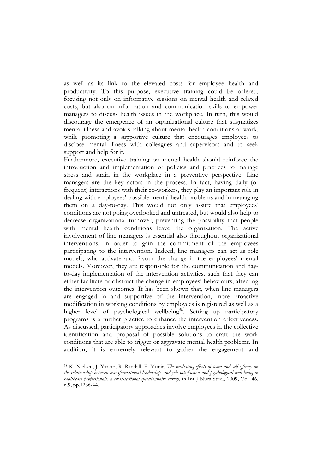as well as its link to the elevated costs for employee health and productivity. To this purpose, executive training could be offered, focusing not only on informative sessions on mental health and related costs, but also on information and communication skills to empower managers to discuss health issues in the workplace. In turn, this would discourage the emergence of an organizational culture that stigmatizes mental illness and avoids talking about mental health conditions at work, while promoting a supportive culture that encourages employees to disclose mental illness with colleagues and supervisors and to seek support and help for it.

Furthermore, executive training on mental health should reinforce the introduction and implementation of policies and practices to manage stress and strain in the workplace in a preventive perspective. Line managers are the key actors in the process. In fact, having daily (or frequent) interactions with their co-workers, they play an important role in dealing with employees' possible mental health problems and in managing them on a day-to-day. This would not only assure that employees' conditions are not going overlooked and untreated, but would also help to decrease organizational turnover, preventing the possibility that people with mental health conditions leave the organization. The active involvement of line managers is essential also throughout organizational interventions, in order to gain the commitment of the employees participating to the intervention. Indeed, line managers can act as role models, who activate and favour the change in the employees' mental models. Moreover, they are responsible for the communication and dayto-day implementation of the intervention activities, such that they can either facilitate or obstruct the change in employees' behaviours, affecting the intervention outcomes. It has been shown that, when line managers are engaged in and supportive of the intervention, more proactive modification in working conditions by employees is registered as well as a higher level of psychological wellbeing<sup>58</sup>. Setting up participatory programs is a further practice to enhance the intervention effectiveness. As discussed, participatory approaches involve employees in the collective identification and proposal of possible solutions to craft the work conditions that are able to trigger or aggravate mental health problems. In addition, it is extremely relevant to gather the engagement and

<sup>58</sup> K. Nielsen, J. Yarker, R. Randall, F. Munir, *The mediating effects of team and self-efficacy on the relationship between transformational leadership, and job satisfaction and psychological well-being in healthcare professionals: a cross-sectional questionnaire survey*, in Int J Nurs Stud., 2009, Vol. 46, n.9, pp.1236-44.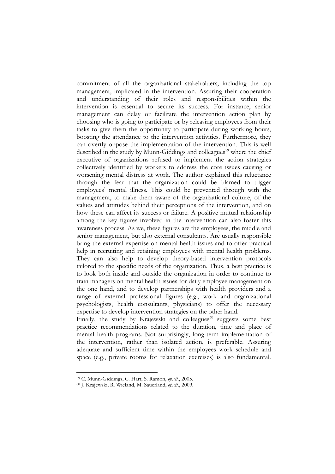commitment of all the organizational stakeholders, including the top management, implicated in the intervention. Assuring their cooperation and understanding of their roles and responsibilities within the intervention is essential to secure its success. For instance, senior management can delay or facilitate the intervention action plan by choosing who is going to participate or by releasing employees from their tasks to give them the opportunity to participate during working hours, boosting the attendance to the intervention activities. Furthermore, they can overtly oppose the implementation of the intervention. This is well described in the study by Munn-Giddings and colleagues<sup>59</sup> where the chief executive of organizations refused to implement the action strategies collectively identified by workers to address the core issues causing or worsening mental distress at work. The author explained this reluctance through the fear that the organization could be blamed to trigger employees' mental illness. This could be prevented through with the management, to make them aware of the organizational culture, of the values and attitudes behind their perceptions of the intervention, and on how these can affect its success or failure. A positive mutual relationship among the key figures involved in the intervention can also foster this awareness process. As we, these figures are the employees, the middle and senior management, but also external consultants. Are usually responsible bring the external expertise on mental health issues and to offer practical help in recruiting and retaining employees with mental health problems. They can also help to develop theory-based intervention protocols tailored to the specific needs of the organization. Thus, a best practice is to look both inside and outside the organization in order to continue to train managers on mental health issues for daily employee management on the one hand, and to develop partnerships with health providers and a range of external professional figures (e.g., work and organizational psychologists, health consultants, physicians) to offer the necessary expertise to develop intervention strategies on the other hand.

Finally, the study by Krajewski and colleagues $60$  suggests some best practice recommendations related to the duration, time and place of mental health programs. Not surprisingly, long-term implementation of the intervention, rather than isolated action, is preferable. Assuring adequate and sufficient time within the employees work schedule and space (e.g., private rooms for relaxation exercises) is also fundamental.

<sup>59</sup> C. Munn-Giddings, C. Hart, S. Ramon, *op.cit*., 2005.

<sup>60</sup> J. Krajewski, R. Wieland, M. Sauerland, *op.cit*., 2009.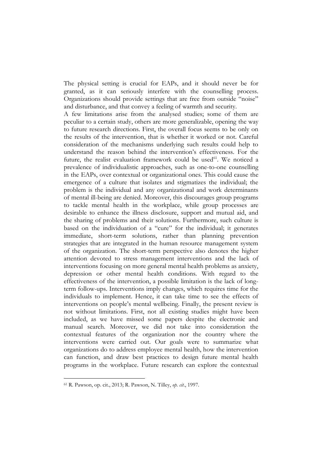The physical setting is crucial for EAPs, and it should never be for granted, as it can seriously interfere with the counselling process. Organizations should provide settings that are free from outside "noise" and disturbance, and that convey a feeling of warmth and security.

A few limitations arise from the analysed studies; some of them are peculiar to a certain study, others are more generalizable, opening the way to future research directions. First, the overall focus seems to be only on the results of the intervention, that is whether it worked or not. Careful consideration of the mechanisms underlying such results could help to understand the reason behind the intervention's effectiveness. For the future, the realist evaluation framework could be used<sup>61</sup>. We noticed a prevalence of individualistic approaches, such as one-to-one counselling in the EAPs, over contextual or organizational ones. This could cause the emergence of a culture that isolates and stigmatizes the individual; the problem is the individual and any organizational and work determinants of mental ill-being are denied. Moreover, this discourages group programs to tackle mental health in the workplace, while group processes are desirable to enhance the illness disclosure, support and mutual aid, and the sharing of problems and their solutions. Furthermore, such culture is based on the individuation of a "cure" for the individual; it generates immediate, short-term solutions, rather than planning prevention strategies that are integrated in the human resource management system of the organization. The short-term perspective also denotes the higher attention devoted to stress management interventions and the lack of interventions focusing on more general mental health problems as anxiety, depression or other mental health conditions. With regard to the effectiveness of the intervention, a possible limitation is the lack of longterm follow-ups. Interventions imply changes, which requires time for the individuals to implement. Hence, it can take time to see the effects of interventions on people's mental wellbeing. Finally, the present review is not without limitations. First, not all existing studies might have been included, as we have missed some papers despite the electronic and manual search. Moreover, we did not take into consideration the contextual features of the organization nor the country where the interventions were carried out. Our goals were to summarize what organizations do to address employee mental health, how the intervention can function, and draw best practices to design future mental health programs in the workplace. Future research can explore the contextual

<sup>61</sup> R. Pawson, op. cit., 2013; R. Pawson, N. Tilley, *op. cit*., 1997.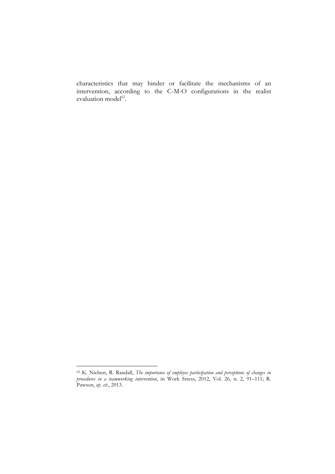characteristics that may hinder or facilitate the mechanisms of an intervention, according to the C-M-O configurations in the realist evaluation model<sup>62</sup>.

<sup>62</sup> K. Nielsen, R. Randall, *The importance of employee participation and perceptions of changes in procedures in a teamworking intervention*, in Work Stress, 2012, Vol. 26, n. 2, 91–111; R. Pawson, *op. cit*., 2013.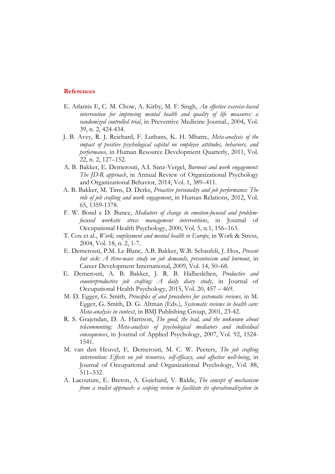#### **References**

- E. Atlantis E, C. M. Chow, A. Kirby, M. F. Singh, *An effective exercise-based intervention for improving mental health and quality of life measures: a randomized controlled trial*, in Preventive Medicine Journal., 2004, Vol. 39, n. 2, 424-434.
- J. B. Avey, R. J. Reichard, F. Luthans, K. H. Mhatre, *Meta-analysis of the impact of positive psychological capital on employee attitudes, behaviors, and performance*, in Human Resource Development Quarterly, 2011, Vol. 22, n. 2, 127–152.
- A. B. Bakker, E. Demerouti, A.I. Sanz-Vergel, *Burnout and work engagement: The JD-R approach*, in Annual Review of Organizational Psychology and Organizational Behavior, 2014, Vol. 1, 389–411.
- A. B. Bakker, M. Tims, D. Derks, *Proactive personality and job performance: The role of job crafting and work engagement*, in Human Relations, 2012, Vol. 65, 1359-1378.
- F. W. Bond e D. Bunce, *Mediators of change in emotion-focused and problemfocused worksite stress management interventions*, in Journal of Occupational Health Psychology, 2000, Vol. 5, n.1, 156–163.
- T. Cox et al., *Work, employment and mental health in Europe*, in Work & Stress, 2004, Vol. 18, n. 2, 1-7.
- E. Demerouti, P.M. Le Blanc, A.B. Bakker, W.B. Schaufeli, J. Hox, *Present but sick: A three-wave study on job demands, presenteeism and burnout*, in Career Development International, 2009, Vol. 14, 50–68.
- E. Demerouti, A. B. Bakker, J. R. B. Halbesleben, *Productive and counterproductive job crafting: A daily diary study*, in Journal of Occupational Health Psychology, 2015, Vol. 20, 457 – 469.
- M. D. Egger, G. Smith, *Principles of and procedures for systematic reviews,* in M. Egger, G. Smith, D. G. Altman (Eds.), *Systematic reviews in health care: Meta-analysis in context*, in BMJ Publishing Group, 2001, 23-42.
- R. S. Grajendan, D. A. Harrison, *The good, the bad, and the unknown about telecommuting: Meta-analysis of psychological mediators and individual consequences*, in Journal of Applied Psychology, 2007, Vol. 92, 1524- 1541.
- M. van den Heuvel, E. Demerouti, M. C. W. Peeters, *The job crafting intervention: Effects on job resources, self-efficacy, and affective well-being*, in Journal of Occupational and Organizational Psychology, Vol. 88, 511–532.
- A. Lacouture, E. Breton, A. Guichard, V. Ridde, *The concept of mechanism from a realist approach: a scoping review to facilitate its operationalization in*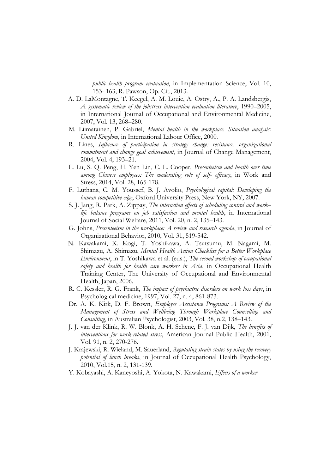*public health program evaluation*, in Implementation Science, Vol. 10, 153- 163; R. Pawson, Op. Cit., 2013.

- A. D. LaMontagne, T. Keegel, A. M. Louie, A. Ostry, A., P. A. Landsbergis, *A systematic review of the jobstress intervention evaluation literature*, 1990–2005, in International Journal of Occupational and Environmental Medicine, 2007, Vol. 13, 268–280.
- M. Liimatainen, P. Gabriel, *Mental health in the workplace. Situation analysis: United Kingdom*, in International Labour Office, 2000.
- R. Lines, *Influence of participation in strategy change: resistance, organizational commitment and change goal achievement*, in Journal of Change Management, 2004, Vol. 4, 193–21.
- L. Lu, S. Q. Peng, H. Yen Lin, C. L. Cooper, *Presenteeism and health over time among Chinese employees: The moderating role of self- efficacy*, in Work and Stress, 2014, Vol. 28, 165-178.
- F. Luthans, C. M. Youssef, B. J. Avolio, *Psychological capital: Developing the human competitive edge*, Oxford University Press, New York, NY, 2007.
- S. J. Jang, R. Park, A. Zippay, *The interaction effects of scheduling control and work– life balance programs on job satisfaction and mental health*, in International Journal of Social Welfare, 2011, Vol. 20, n. 2, 135–143.
- G. Johns, *Presenteeism in the workplace: A review and research agenda*, in Journal of Organizational Behavior, 2010, Vol. 31, 519-542.
- N. Kawakami, K. Kogi, T. Yoshikawa, A. Tsutsumu, M. Nagami, M. Shimazu, A. Shimazu, *Mental Health Action Checklist for a Better Workplace Environment*, in T. Yoshikawa et al. (eds.), *The second workshop of occupational safety and health for health care workers in Asia*, in Occupational Health Training Center, The University of Occupational and Environmental Health, Japan, 2006.
- R. C. Kessler, R. G. Frank, *The impact of psychiatric disorders on work loss days*, in Psychological medicine, 1997, Vol. 27, n. 4, 861-873.
- Dr. A. K. Kirk, D. F. Brown, *Employee Assistance Programs: A Review of the Management of Stress and Wellbeing Through Workplace Counselling and Consulting*, in Australian Psychologist, 2003, Vol. 38, n.2, 138–143.
- J. J. van der Klink, R. W. Blonk, A. H. Schene, F. J. van Dijk, *The benefits of interventions for work-related stress*, American Journal Public Health, 2001, Vol. 91, n. 2, 270-276.
- J. Krajewski, R. Wieland, M. Sauerland, *Regulating strain states by using the recovery potential of lunch breaks*, in Journal of Occupational Health Psychology, 2010, Vol.15, n. 2, 131-139.
- Y. Kobayashi, A. Kaneyoshi, A. Yokota, N. Kawakami, *Effects of a worker*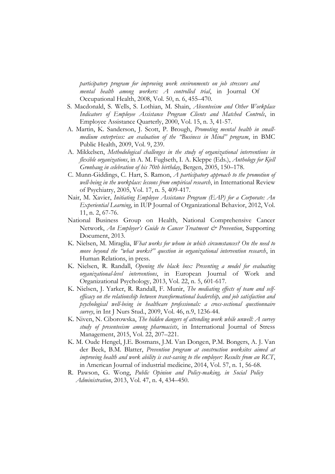*participatory program for improving work environments on job stressors and mental health among workers: A controlled trial*, in Journal Of Occupational Health, 2008, Vol. 50, n. 6, 455–470.

- S. Macdonald, S. Wells, S. Lothian, M. Shain, *Absenteeism and Other Workplace Indicators of Employee Assistance Program Clients and Matched Controls*, in Employee Assistance Quarterly, 2000, Vol. 15, n. 3, 41-57.
- A. Martin, K. Sanderson, J. Scott, P. Brough, *Promoting mental health in smallmedium enterprises: an evaluation of the "Business in Mind" program*, in BMC Public Health, 2009, Vol. 9, 239.
- A. Mikkelsen, *Methodological challenges in the study of organizational interventions in flexible organizations*, in A. M. Fuglseth, I. A. Kleppe (Eds.), *Anthology for Kjell Grønhaug in celebration of his 70th birthday*, Bergen, 2005, 150–178.
- C. Munn-Giddings, C. Hart, S. Ramon, *A participatory approach to the promotion of well-being in the workplace: lessons from empirical research*, in International Review of Psychiatry, 2005, Vol. 17, n. 5, 409-417.
- Nair, M. Xavier, *Initiating Employee Assistance Program (EAP) for a Corporate: An Experiential Learning*, in IUP Journal of Organizational Behavior, 2012, Vol. 11, n. 2, 67-76.
- National Business Group on Health, National Comprehensive Cancer Network, *An Employer's Guide to Cancer Treatment & Prevention*, Supporting Document, 2013.
- K. Nielsen, M. Miraglia, *What works for whom in which circumstances? On the need to move beyond the "what works?" question in organizational intervention research*, in Human Relations, in press.
- K. Nielsen, R. Randall, *Opening the black box: Presenting a model for evaluating organizational-level interventions*, in European Journal of Work and Organizational Psychology, 2013, Vol. 22, n. 5, 601-617.
- K. Nielsen, J. Yarker, R. Randall, F. Munir, *The mediating effects of team and selfefficacy on the relationship between transformational leadership, and job satisfaction and psychological well-being in healthcare professionals: a cross-sectional questionnaire survey*, in Int J Nurs Stud., 2009, Vol. 46, n.9, 1236-44.
- K. Niven, N. Ciborowska, *The hidden dangers of attending work while unwell: A survey study of presenteeism among pharmacists*, in International Journal of Stress Management, 2015, Vol. 22, 207–221.
- K. M. Oude Hengel, J.E. Bosmans, J.M. Van Dongen, P.M. Bongers, A. J. Van der Beek, B.M. Blatter, *Prevention program at construction worksites aimed at improving health and work ability is cost-saving to the employer: Results from an RCT*, in American Journal of industrial medicine, 2014, Vol. 57, n. 1, 56-68.
- R. Pawson, G. Wong, *Public Opinion and Policy-making, in Social Policy Administration*, 2013, Vol. 47, n. 4, 434–450.